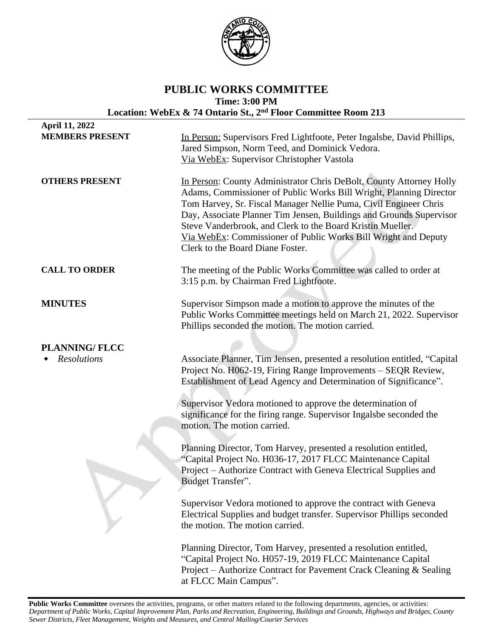

## **PUBLIC WORKS COMMITTEE Time: 3:00 PM Location: WebEx & 74 Ontario St., 2nd Floor Committee Room 213**

| April 11, 2022         |                                                                                                                                                                                                                                                                                                                                                                                                                                                          |
|------------------------|----------------------------------------------------------------------------------------------------------------------------------------------------------------------------------------------------------------------------------------------------------------------------------------------------------------------------------------------------------------------------------------------------------------------------------------------------------|
| <b>MEMBERS PRESENT</b> | In Person: Supervisors Fred Lightfoote, Peter Ingalsbe, David Phillips,<br>Jared Simpson, Norm Teed, and Dominick Vedora.<br>Via WebEx: Supervisor Christopher Vastola                                                                                                                                                                                                                                                                                   |
| <b>OTHERS PRESENT</b>  | In Person: County Administrator Chris DeBolt, County Attorney Holly<br>Adams, Commissioner of Public Works Bill Wright, Planning Director<br>Tom Harvey, Sr. Fiscal Manager Nellie Puma, Civil Engineer Chris<br>Day, Associate Planner Tim Jensen, Buildings and Grounds Supervisor<br>Steve Vanderbrook, and Clerk to the Board Kristin Mueller.<br>Via WebEx: Commissioner of Public Works Bill Wright and Deputy<br>Clerk to the Board Diane Foster. |
| <b>CALL TO ORDER</b>   | The meeting of the Public Works Committee was called to order at<br>3:15 p.m. by Chairman Fred Lightfoote.                                                                                                                                                                                                                                                                                                                                               |
| <b>MINUTES</b>         | Supervisor Simpson made a motion to approve the minutes of the<br>Public Works Committee meetings held on March 21, 2022. Supervisor<br>Phillips seconded the motion. The motion carried.                                                                                                                                                                                                                                                                |
| <b>PLANNING/FLCC</b>   |                                                                                                                                                                                                                                                                                                                                                                                                                                                          |
| <b>Resolutions</b>     | Associate Planner, Tim Jensen, presented a resolution entitled, "Capital<br>Project No. H062-19, Firing Range Improvements - SEQR Review,<br>Establishment of Lead Agency and Determination of Significance".                                                                                                                                                                                                                                            |
|                        | Supervisor Vedora motioned to approve the determination of<br>significance for the firing range. Supervisor Ingalsbe seconded the<br>motion. The motion carried.                                                                                                                                                                                                                                                                                         |
|                        | Planning Director, Tom Harvey, presented a resolution entitled,<br>"Capital Project No. H036-17, 2017 FLCC Maintenance Capital<br>Project – Authorize Contract with Geneva Electrical Supplies and<br>Budget Transfer".                                                                                                                                                                                                                                  |
|                        | Supervisor Vedora motioned to approve the contract with Geneva<br>Electrical Supplies and budget transfer. Supervisor Phillips seconded<br>the motion. The motion carried.                                                                                                                                                                                                                                                                               |
|                        | Planning Director, Tom Harvey, presented a resolution entitled,<br>"Capital Project No. H057-19, 2019 FLCC Maintenance Capital<br>Project – Authorize Contract for Pavement Crack Cleaning & Sealing<br>at FLCC Main Campus".                                                                                                                                                                                                                            |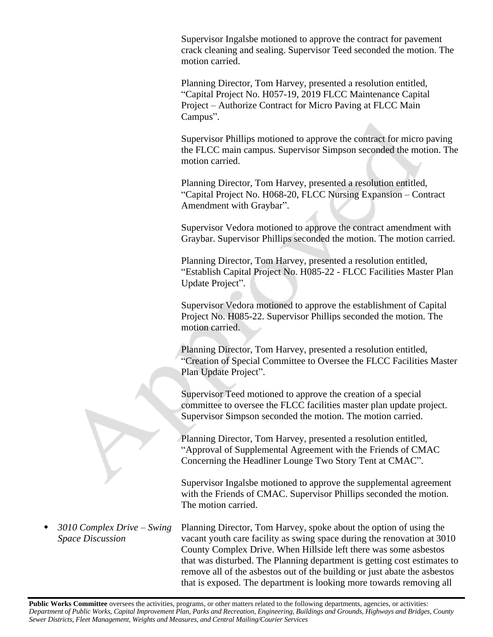Supervisor Ingalsbe motioned to approve the contract for pavement crack cleaning and sealing. Supervisor Teed seconded the motion. The motion carried.

Planning Director, Tom Harvey, presented a resolution entitled, "Capital Project No. H057-19, 2019 FLCC Maintenance Capital Project – Authorize Contract for Micro Paving at FLCC Main Campus".

Supervisor Phillips motioned to approve the contract for micro paving the FLCC main campus. Supervisor Simpson seconded the motion. The motion carried.

Planning Director, Tom Harvey, presented a resolution entitled, "Capital Project No. H068-20, FLCC Nursing Expansion – Contract Amendment with Graybar".

Supervisor Vedora motioned to approve the contract amendment with Graybar. Supervisor Phillips seconded the motion. The motion carried.

Planning Director, Tom Harvey, presented a resolution entitled, "Establish Capital Project No. H085-22 - FLCC Facilities Master Plan Update Project".

Supervisor Vedora motioned to approve the establishment of Capital Project No. H085-22. Supervisor Phillips seconded the motion. The motion carried.

Planning Director, Tom Harvey, presented a resolution entitled, "Creation of Special Committee to Oversee the FLCC Facilities Master Plan Update Project".

Supervisor Teed motioned to approve the creation of a special committee to oversee the FLCC facilities master plan update project. Supervisor Simpson seconded the motion. The motion carried.

Planning Director, Tom Harvey, presented a resolution entitled, "Approval of Supplemental Agreement with the Friends of CMAC Concerning the Headliner Lounge Two Story Tent at CMAC".

Supervisor Ingalsbe motioned to approve the supplemental agreement with the Friends of CMAC. Supervisor Phillips seconded the motion. The motion carried.

 *3010 Complex Drive – Swing Space Discussion* Planning Director, Tom Harvey, spoke about the option of using the vacant youth care facility as swing space during the renovation at 3010 County Complex Drive. When Hillside left there was some asbestos that was disturbed. The Planning department is getting cost estimates to remove all of the asbestos out of the building or just abate the asbestos that is exposed. The department is looking more towards removing all

Public Works Committee oversees the activities, programs, or other matters related to the following departments, agencies, or activities: Department of Public Works, Capital Improvement Plan, Parks and Recreation, Engineering, Buildings and Grounds, Highways and Bridges, County *Sewer Districts, Fleet Management, Weights and Measures, and Central Mailing/Courier Services*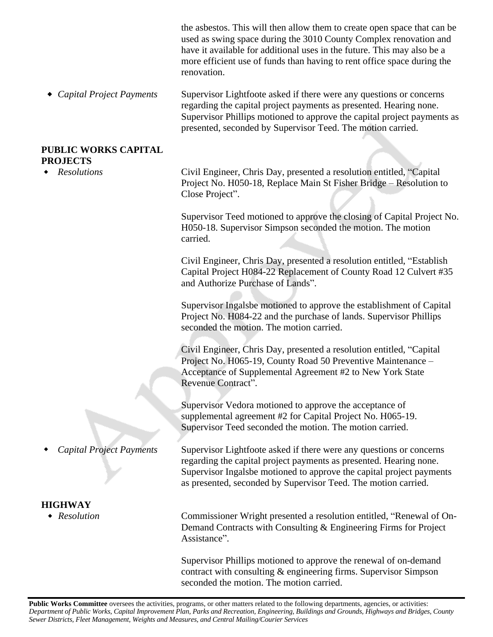|                                                | the asbestos. This will then allow them to create open space that can be<br>used as swing space during the 3010 County Complex renovation and<br>have it available for additional uses in the future. This may also be a<br>more efficient use of funds than having to rent office space during the<br>renovation. |
|------------------------------------------------|--------------------------------------------------------------------------------------------------------------------------------------------------------------------------------------------------------------------------------------------------------------------------------------------------------------------|
| Capital Project Payments                       | Supervisor Lightfoote asked if there were any questions or concerns<br>regarding the capital project payments as presented. Hearing none.<br>Supervisor Phillips motioned to approve the capital project payments as<br>presented, seconded by Supervisor Teed. The motion carried.                                |
| <b>PUBLIC WORKS CAPITAL</b><br><b>PROJECTS</b> |                                                                                                                                                                                                                                                                                                                    |
| <b>Resolutions</b>                             | Civil Engineer, Chris Day, presented a resolution entitled, "Capital<br>Project No. H050-18, Replace Main St Fisher Bridge – Resolution to<br>Close Project".                                                                                                                                                      |
|                                                | Supervisor Teed motioned to approve the closing of Capital Project No.<br>H050-18. Supervisor Simpson seconded the motion. The motion<br>carried.                                                                                                                                                                  |
|                                                | Civil Engineer, Chris Day, presented a resolution entitled, "Establish<br>Capital Project H084-22 Replacement of County Road 12 Culvert #35<br>and Authorize Purchase of Lands".                                                                                                                                   |
|                                                | Supervisor Ingalsbe motioned to approve the establishment of Capital<br>Project No. H084-22 and the purchase of lands. Supervisor Phillips<br>seconded the motion. The motion carried.                                                                                                                             |
|                                                | Civil Engineer, Chris Day, presented a resolution entitled, "Capital<br>Project No. H065-19, County Road 50 Preventive Maintenance -<br>Acceptance of Supplemental Agreement #2 to New York State<br>Revenue Contract".                                                                                            |
|                                                | Supervisor Vedora motioned to approve the acceptance of<br>supplemental agreement #2 for Capital Project No. H065-19.<br>Supervisor Teed seconded the motion. The motion carried.                                                                                                                                  |
| <b>Capital Project Payments</b>                | Supervisor Lightfoote asked if there were any questions or concerns<br>regarding the capital project payments as presented. Hearing none.<br>Supervisor Ingalsbe motioned to approve the capital project payments<br>as presented, seconded by Supervisor Teed. The motion carried.                                |
| <b>HIGHWAY</b>                                 |                                                                                                                                                                                                                                                                                                                    |
| Resolution                                     | Commissioner Wright presented a resolution entitled, "Renewal of On-<br>Demand Contracts with Consulting & Engineering Firms for Project<br>Assistance".                                                                                                                                                           |
|                                                | Supervisor Phillips motioned to approve the renewal of on-demand<br>contract with consulting & engineering firms. Supervisor Simpson                                                                                                                                                                               |

Public Works Committee oversees the activities, programs, or other matters related to the following departments, agencies, or activities: Department of Public Works, Capital Improvement Plan, Parks and Recreation, Engineering, Buildings and Grounds, Highways and Bridges, County *Sewer Districts, Fleet Management, Weights and Measures, and Central Mailing/Courier Services*

seconded the motion. The motion carried.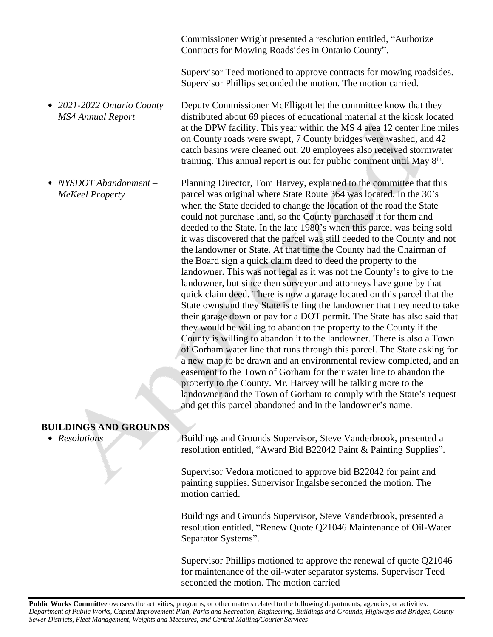Commissioner Wright presented a resolution entitled, "Authorize Contracts for Mowing Roadsides in Ontario County".

Supervisor Teed motioned to approve contracts for mowing roadsides. Supervisor Phillips seconded the motion. The motion carried.

 *2021-2022 Ontario County MS4 Annual Report* Deputy Commissioner McElligott let the committee know that they distributed about 69 pieces of educational material at the kiosk located at the DPW facility. This year within the MS 4 area 12 center line miles on County roads were swept, 7 County bridges were washed, and 42 catch basins were cleaned out. 20 employees also received stormwater training. This annual report is out for public comment until May 8<sup>th</sup>.

 *NYSDOT Abandonment – MeKeel Property* Planning Director, Tom Harvey, explained to the committee that this parcel was original where State Route 364 was located. In the 30's when the State decided to change the location of the road the State could not purchase land, so the County purchased it for them and deeded to the State. In the late 1980's when this parcel was being sold it was discovered that the parcel was still deeded to the County and not the landowner or State. At that time the County had the Chairman of the Board sign a quick claim deed to deed the property to the landowner. This was not legal as it was not the County's to give to the landowner, but since then surveyor and attorneys have gone by that quick claim deed. There is now a garage located on this parcel that the State owns and they State is telling the landowner that they need to take their garage down or pay for a DOT permit. The State has also said that they would be willing to abandon the property to the County if the County is willing to abandon it to the landowner. There is also a Town of Gorham water line that runs through this parcel. The State asking for a new map to be drawn and an environmental review completed, and an easement to the Town of Gorham for their water line to abandon the property to the County. Mr. Harvey will be talking more to the landowner and the Town of Gorham to comply with the State's request and get this parcel abandoned and in the landowner's name.

## **BUILDINGS AND GROUNDS**

 *Resolutions* Buildings and Grounds Supervisor, Steve Vanderbrook, presented a resolution entitled, "Award Bid B22042 Paint & Painting Supplies".

> Supervisor Vedora motioned to approve bid B22042 for paint and painting supplies. Supervisor Ingalsbe seconded the motion. The motion carried.

Buildings and Grounds Supervisor, Steve Vanderbrook, presented a resolution entitled, "Renew Quote Q21046 Maintenance of Oil-Water Separator Systems".

Supervisor Phillips motioned to approve the renewal of quote Q21046 for maintenance of the oil-water separator systems. Supervisor Teed seconded the motion. The motion carried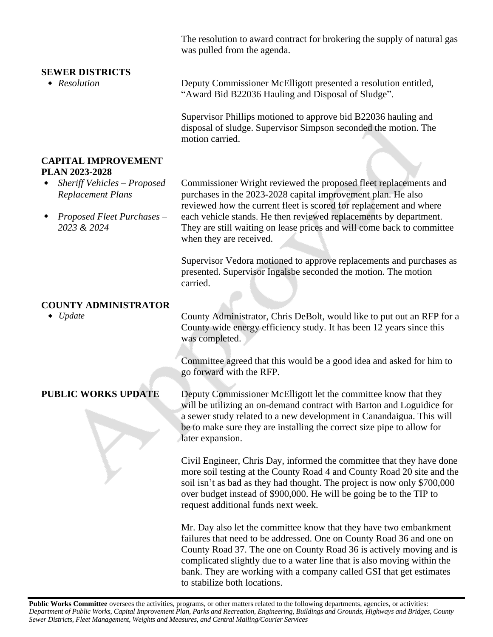The resolution to award contract for brokering the supply of natural gas was pulled from the agenda.

| <b>SEWER DISTRICTS</b>                                  |                                                                                                                                                                                                                                                                                                                                                                    |
|---------------------------------------------------------|--------------------------------------------------------------------------------------------------------------------------------------------------------------------------------------------------------------------------------------------------------------------------------------------------------------------------------------------------------------------|
| $\triangleleft$ Resolution                              | Deputy Commissioner McElligott presented a resolution entitled,<br>"Award Bid B22036 Hauling and Disposal of Sludge".                                                                                                                                                                                                                                              |
|                                                         | Supervisor Phillips motioned to approve bid B22036 hauling and<br>disposal of sludge. Supervisor Simpson seconded the motion. The<br>motion carried.                                                                                                                                                                                                               |
| <b>CAPITAL IMPROVEMENT</b><br>PLAN 2023-2028            |                                                                                                                                                                                                                                                                                                                                                                    |
| Sheriff Vehicles - Proposed<br><b>Replacement Plans</b> | Commissioner Wright reviewed the proposed fleet replacements and<br>purchases in the 2023-2028 capital improvement plan. He also                                                                                                                                                                                                                                   |
| Proposed Fleet Purchases -<br>2023 & 2024               | reviewed how the current fleet is scored for replacement and where<br>each vehicle stands. He then reviewed replacements by department.<br>They are still waiting on lease prices and will come back to committee<br>when they are received.                                                                                                                       |
|                                                         | Supervisor Vedora motioned to approve replacements and purchases as<br>presented. Supervisor Ingalsbe seconded the motion. The motion<br>carried.                                                                                                                                                                                                                  |
|                                                         |                                                                                                                                                                                                                                                                                                                                                                    |
| <b>COUNTY ADMINISTRATOR</b><br>$\bullet$ Update         | County Administrator, Chris DeBolt, would like to put out an RFP for a<br>County wide energy efficiency study. It has been 12 years since this<br>was completed.                                                                                                                                                                                                   |
|                                                         | Committee agreed that this would be a good idea and asked for him to<br>go forward with the RFP.                                                                                                                                                                                                                                                                   |
| <b>PUBLIC WORKS UPDATE</b>                              | Deputy Commissioner McElligott let the committee know that they<br>will be utilizing an on-demand contract with Barton and Loguidice for<br>a sewer study related to a new development in Canandaigua. This will<br>be to make sure they are installing the correct size pipe to allow for<br>later expansion.                                                     |
|                                                         | Civil Engineer, Chris Day, informed the committee that they have done<br>more soil testing at the County Road 4 and County Road 20 site and the<br>soil isn't as bad as they had thought. The project is now only \$700,000<br>over budget instead of \$900,000. He will be going be to the TIP to<br>request additional funds next week.                          |
|                                                         | Mr. Day also let the committee know that they have two embankment<br>failures that need to be addressed. One on County Road 36 and one on<br>County Road 37. The one on County Road 36 is actively moving and is<br>complicated slightly due to a water line that is also moving within the<br>bank. They are working with a company called GSI that get estimates |

to stabilize both locations.